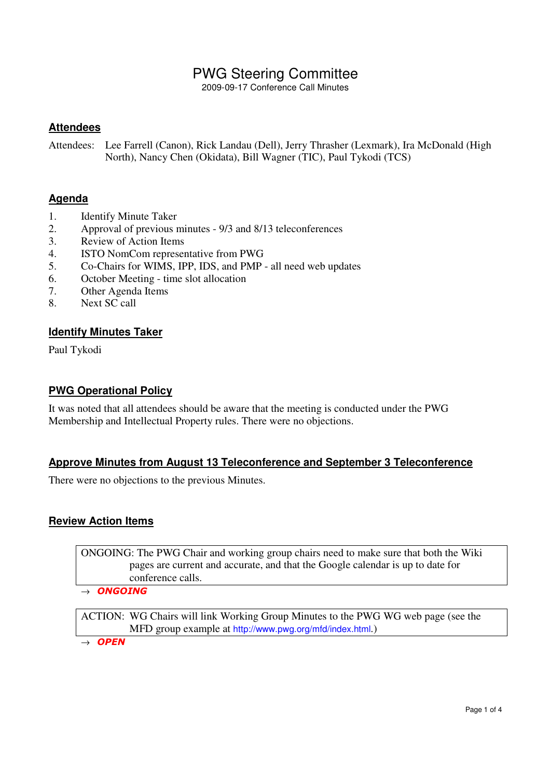# PWG Steering Committee

2009-09-17 Conference Call Minutes

## **Attendees**

Attendees: Lee Farrell (Canon), Rick Landau (Dell), Jerry Thrasher (Lexmark), Ira McDonald (High North), Nancy Chen (Okidata), Bill Wagner (TIC), Paul Tykodi (TCS)

## **Agenda**

- 1. Identify Minute Taker
- 2. Approval of previous minutes 9/3 and 8/13 teleconferences
- 3. Review of Action Items
- 4. ISTO NomCom representative from PWG
- 5. Co-Chairs for WIMS, IPP, IDS, and PMP all need web updates
- 6. October Meeting time slot allocation
- 7. Other Agenda Items
- 8. Next SC call

#### **Identify Minutes Taker**

Paul Tykodi

#### **PWG Operational Policy**

It was noted that all attendees should be aware that the meeting is conducted under the PWG Membership and Intellectual Property rules. There were no objections.

#### **Approve Minutes from August 13 Teleconference and September 3 Teleconference**

There were no objections to the previous Minutes.

#### **Review Action Items**

ONGOING: The PWG Chair and working group chairs need to make sure that both the Wiki pages are current and accurate, and that the Google calendar is up to date for conference calls.

 $\rightarrow$  ONGOING

ACTION: WG Chairs will link Working Group Minutes to the PWG WG web page (see the MFD group example at http://www.pwg.org/mfd/index.html.)

 $\rightarrow$  OPEN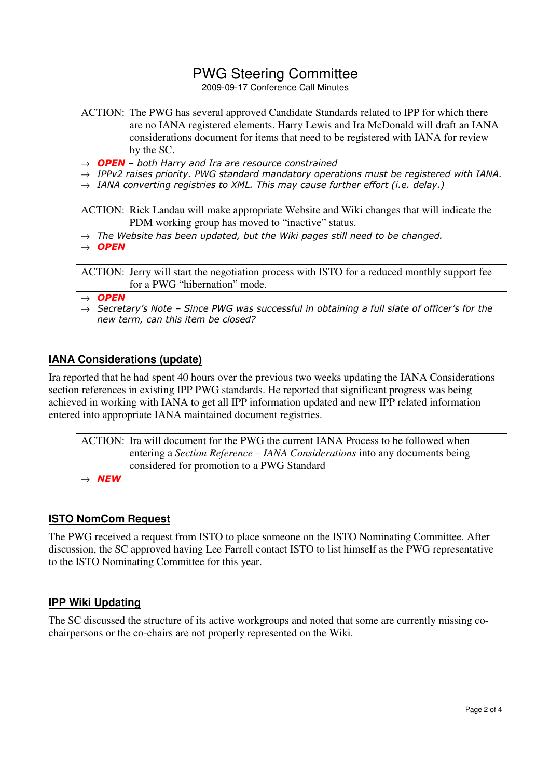# PWG Steering Committee

2009-09-17 Conference Call Minutes

- ACTION: The PWG has several approved Candidate Standards related to IPP for which there are no IANA registered elements. Harry Lewis and Ira McDonald will draft an IANA considerations document for items that need to be registered with IANA for review by the SC.
- $\rightarrow$  **OPEN** both Harry and Ira are resource constrained
- $\rightarrow$  IPPv2 raises priority. PWG standard mandatory operations must be registered with IANA.
- $\rightarrow$  IANA converting registries to XML. This may cause further effort (i.e. delay.)

ACTION: Rick Landau will make appropriate Website and Wiki changes that will indicate the PDM working group has moved to "inactive" status.

 $\rightarrow$  The Website has been updated, but the Wiki pages still need to be changed.

 $\rightarrow$  OPEN

ACTION: Jerry will start the negotiation process with ISTO for a reduced monthly support fee for a PWG "hibernation" mode.

 $\rightarrow$  OPEN

 $\rightarrow$  Secretary's Note - Since PWG was successful in obtaining a full slate of officer's for the new term, can this item be closed?

## **IANA Considerations (update)**

Ira reported that he had spent 40 hours over the previous two weeks updating the IANA Considerations section references in existing IPP PWG standards. He reported that significant progress was being achieved in working with IANA to get all IPP information updated and new IPP related information entered into appropriate IANA maintained document registries.

ACTION: Ira will document for the PWG the current IANA Process to be followed when entering a *Section Reference – IANA Considerations* into any documents being considered for promotion to a PWG Standard  $\rightarrow$  NEW

#### **ISTO NomCom Request**

The PWG received a request from ISTO to place someone on the ISTO Nominating Committee. After discussion, the SC approved having Lee Farrell contact ISTO to list himself as the PWG representative to the ISTO Nominating Committee for this year.

#### **IPP Wiki Updating**

The SC discussed the structure of its active workgroups and noted that some are currently missing cochairpersons or the co-chairs are not properly represented on the Wiki.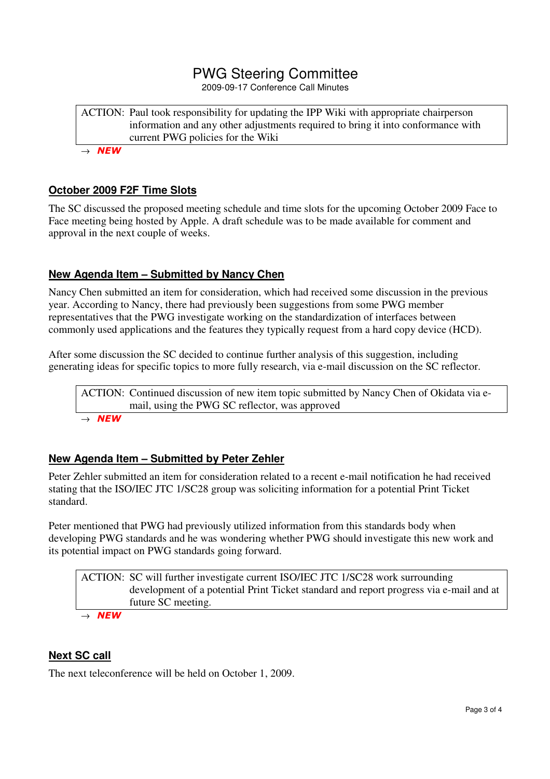# PWG Steering Committee

2009-09-17 Conference Call Minutes

ACTION: Paul took responsibility for updating the IPP Wiki with appropriate chairperson information and any other adjustments required to bring it into conformance with current PWG policies for the Wiki

 $\rightarrow$  NEW

#### **October 2009 F2F Time Slots**

The SC discussed the proposed meeting schedule and time slots for the upcoming October 2009 Face to Face meeting being hosted by Apple. A draft schedule was to be made available for comment and approval in the next couple of weeks.

## **New Agenda Item – Submitted by Nancy Chen**

Nancy Chen submitted an item for consideration, which had received some discussion in the previous year. According to Nancy, there had previously been suggestions from some PWG member representatives that the PWG investigate working on the standardization of interfaces between commonly used applications and the features they typically request from a hard copy device (HCD).

After some discussion the SC decided to continue further analysis of this suggestion, including generating ideas for specific topics to more fully research, via e-mail discussion on the SC reflector.

ACTION: Continued discussion of new item topic submitted by Nancy Chen of Okidata via email, using the PWG SC reflector, was approved  $\rightarrow$  NEW

## **New Agenda Item – Submitted by Peter Zehler**

Peter Zehler submitted an item for consideration related to a recent e-mail notification he had received stating that the ISO/IEC JTC 1/SC28 group was soliciting information for a potential Print Ticket standard.

Peter mentioned that PWG had previously utilized information from this standards body when developing PWG standards and he was wondering whether PWG should investigate this new work and its potential impact on PWG standards going forward.

ACTION: SC will further investigate current ISO/IEC JTC 1/SC28 work surrounding development of a potential Print Ticket standard and report progress via e-mail and at future SC meeting.

 $\rightarrow$  NEW

#### **Next SC call**

The next teleconference will be held on October 1, 2009.